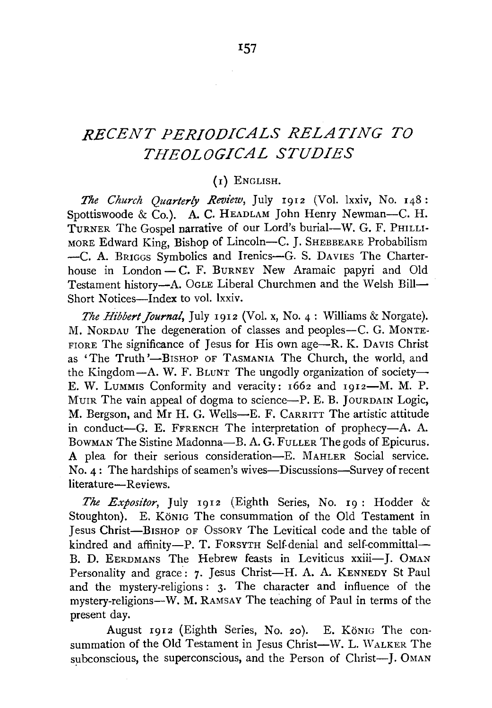# *RECENT PERIODICALS RELATING TO THEOLOGICAL STUDIES*

#### (1} ENGLISH.

*The Church Quarterly Review,* July 1912 (Vol. lxxiv, No. 148: Spottiswoode & Co.). A. C. HEADLAM John Henry Newman-C. H. TURNER The Gospel narrative of our Lord's burial-W. G. F. PHILLI-MORE Edward King, Bishop of Lincoln-C. J. SHEBBEARE Probabilism -C. A. BRIGGS Symbolics and Irenics-G. S. DAVIES The Charterhouse in London - C. F. BURNEY New Aramaic papyri and Old Testament history---A. OGLE Liberal Churchmen and the Welsh Bill-Short Notices-Index to vol. lxxiv.

*The Hibbert Journal,* July 1912 (Vol. x, No. 4: Williams & Norgate). M. NoRDAU The degeneration of classes and peoples-C. G. MONTE-FIORE The significance of Jesus for His own age-R. K. DAVIS Christ as 'The Truth'-BISHOP OF TASMANIA The Church, the world, and the Kingdom $-A$ . W. F. BLUNT The ungodly organization of society-E. W. LUMMIS Conformity and veracity: 1662 and 1912-M. M. P. MUIR The vain appeal of dogma to science-P. E. B. JOURDAIN Logic, M. Bergson, and Mr H. G. Wells-E. F. CARRITT The artistic attitude in conduct-G. E. FFRENCH The interpretation of prophecy-A. A. BOWMAN The Sistine Madonna-B. A. G. FULLER The gods of Epicurus. A plea for their serious consideration-E. MAHLER Social service. No.  $4:$  The hardships of seamen's wives—Discussions—Survey of recent literature-Reviews.

*The Expositor,* July 1912 (Eighth Series, No. 19: Hodder & Stoughton). E. König The consummation of the Old Testament in Jesus Christ-BISHOP OF OssoRY The Levitical code and the table of kindred and affinity-P. T. FORSYTH Self-denial and self-committal-B. D. EERDMANS The Hebrew feasts in Leviticus xxiii-J. OMAN Personality and grace: 7. Jesus Christ-H. A. A. KENNEDY St Paul and the mystery-religions : 3. The character and influence of the mystery-religions-W. M. RAMSAY The teaching of Paul in terms of the present day.

August 1912 (Eighth Series, No. 20). E. König The consummation of the Old Testament in Jesus Christ-W. L. WALKER The subconscious, the superconscious, and the Person of Christ-J. OMAN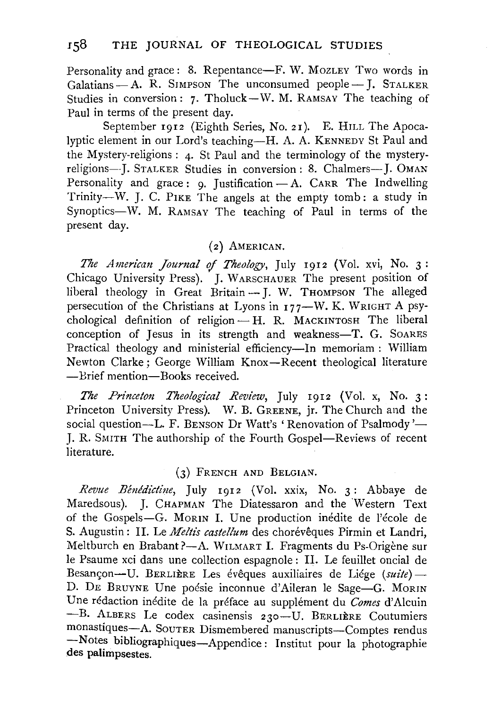Personality and grace: 8. Repentance-F. W. MozLEY Two words in Galatians - A. R. SIMPSON The unconsumed people - J. STALKER Studies in conversion: 7. Tholuck-W. M. RAMSAY The teaching of Paul in terms of the present day.

September 1912 (Eighth Series, No. 21). E. HILL The Apocalyptic element in our Lord's teaching-H. A. A. KENNEDY St Paul and the Mystery-religions : 4· St Paul and the terminology of the mysteryreligions--J. STALKER Studies in conversion: 8. Chalmers-J. OMAN Personality and grace: 9. Justification- A. CARR The Indwelling Trinity-W. J. C. PIKE The angels at the empty tomb: a study in Synoptics-W. M. RAMSAY The teaching of Paul in terms of the present day.

#### (2) AMERICAN.

*The American Journal* of *Theology,* July 1912 (Vol. xvi, No. 3: Chicago University Press). J. WARSCHAUER The present position of liberal theology in Great Britain- J. W. THOMPSON The alleged persecution of the Christians at Lyons in 177-W. K. WRIGHT A psychological definition of religion- H. R. MACKINTOSH The liberal conception of Jesus in its strength and weakness-T. G. SOARES Practical theology and ministerial efficiency-In memoriam : William Newton Clarke; George William Knox-Recent theological literature -Brief mention-Books received.

*The Princeton Theological Review,* July 1912 (Vol. x, No. 3: Princeton University Press). W. B. GREENE, jr. The Church and the social question-L. F. BENSON Dr Watt's 'Renovation of Psalmody'-J. R. SMITH The authorship of the Fourth Gospel-Reviews of recent literature.

#### (3) FRENCH AND BELGIAN.

*Revue Bhufdictine,* July 1912 (Vol. xxix, No. 3: Abbaye de Maredsous). J. CHAPMAN The Diatessaron and the 'Western Text of the Gospels-G. MORIN I. Une production inedite de l'ecole de S. Augustin : II. Le *Meltis castellum* des chorévêques Pirmin et Landri, Meltburch en Brabant ?- A. WILMART I. Fragments du Ps-Origène sur le Psaume xci dans une collection espagnole : II. Le feuillet oncial de Besançon-U. BERLIÈRE Les évêques auxiliaires de Liége *(suite)*-D. DE BRUYNE Une poesie inconnue d'Aileran le Sage-G. MoRIN Une rédaction inédite de la préface au supplément du *Comes* d'Alcuin -B. ALBERS Le codex casinensis 230-U. BERLIÈRE Coutumiers monastiques-A. SouTER Dismembered manuscripts-Comptes rendus  $-$ Notes bibliographiques $-$ Appendice: Institut pour la photographie des palimpsestes.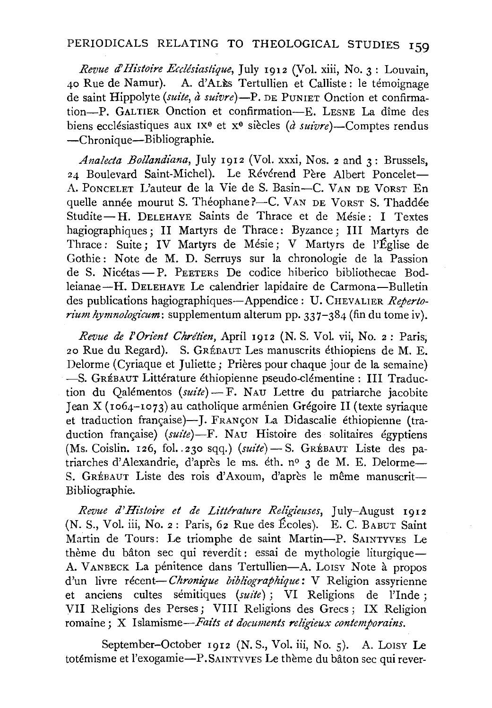## PERIODICALS RELATING TO THEOLOGICAL STUDIES 159

*Revue d'Histoire Ecclesiastique,* July 1912 (Yol. xiii, No. 3: Louvain, 40 Rue de Namur). A. d'ALES Tertullien et Calliste : le témoignage de saint Hippolyte *(suite, a suivre)-P.* DE PUNIET Onction et confirmation-F. GALTIER Onction et confirmation-E. LESNE La dime des biens ecclésiastiques aux IX<sup>e</sup> et x<sup>e</sup> siècles (*à suivre*)-Comptes rendus -Chronique-Bibliographie.

*Analecta Bollandiana,* July 1912 (Vol. xxxi, Nos. 2 and 3: Brussels, 24 Boulevard Saint-Michel). Le Révérend Père Albert Poncelet-A. PoNCELET L'auteur de la Vie deS. Basin-C. VAN DE VoRsT En quelle année mourut S. Théophane ?- C. VAN DE VORST S. Thaddée Studite- H. DELEHAYE Saints de Thrace et de Mesie: I Textes hagiographiques ; II Martyrs de Thrace : Byzance ; III Martyrs de Thrace : Suite; IV Martyrs de Mesie; V Martyrs de l'Eglise de Gothie: Note de M. D. Serruys sur la chronologie de la Passion de S. Nicétas- P. PEETERS De codice hiberico bibliothecae Bodleianae-H. DELEHAYE Le calendrier lapidaire de Carmona-Bulletin des publications hagiographiques-Appendice: U. CHEVALIER *Repertorium hymnologicum:* supplementum alterum pp. 337-384 (fin du tome iv).

*Revue de l'Orient Chrétien, April 1912 (N. S. Vol. vii, No. 2 : Paris;* 20 Rue du Regard). s. GREBAUT Les manuscrits ethiopiens de M. E. Delorme (Cyriaque et Juliette; Prières pour chaque jour de la semaine) -S. GRÉBAUT Littérature éthiopienne pseudo-clémentine : III Traduction du Qalementos *(suite)-* F. NAu Lettre du patriarche jacobite Jean X (1064-1073) au catholique arménien Grégoire II (texte syriaque et traduction française)-J. FRANÇON La Didascalie éthiopienne (traduction française) *(suite)*-F. NAU Histoire des solitaires égyptiens (Ms. Coislin. 126, fol. .230 sqq.) (suite) - S. GREBAUT Liste des patriarches d'Alexandrie, d'après le ms. éth. nº 3 de M. E. Delorme-S. GRÉBAUT Liste des rois d'Axoum, d'après le même manuscrit-Bibliographie.

*Revue d'Histoire et de Littlrature Religieuses,* July-August 1912 (N. S., Vol. iii, No. 2: Paris, 62 Rue des Ecoles). E. C. BABUT Saint Martin de Tours: Le triomphe de saint Martin-P. SAINTYVES Le thème du bâton sec qui reverdit: essai de mythologie liturgique-A. VANBECK La pénitence dans Tertullien-A. LOISY Note à propos d'un livre recent-*Chronique bibliographique:* V Religion assyrienne et anciens cultes semitiques *(suite)* ; VI Religions de l'Inde ; VII Religions des Perses; VIII Religions des Grecs ; IX Religion romaine; X *Islamisme-Faits et documents religieux contemporains.* 

September-October 1912 (N. S., Vol. iii, No. 5). A. LOISY Le totemisme et l'exogamie-P.SAINTYVES Le theme du baton sec qui rever